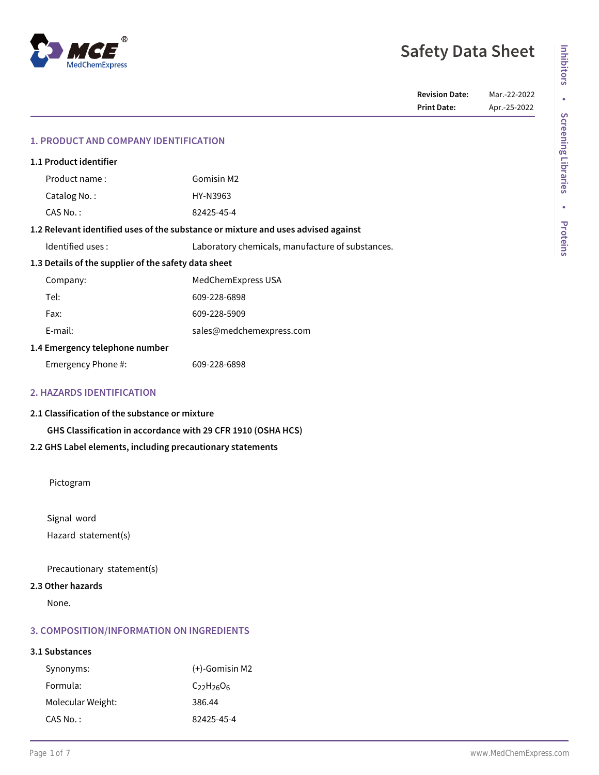# **Safety Data Sheet**

## **1. PRODUCT AND COMPANY IDENTIFICATION**

| 1.1 Product identifier                                                            |                    |                                                  |  |  |
|-----------------------------------------------------------------------------------|--------------------|--------------------------------------------------|--|--|
|                                                                                   | Product name:      | Gomisin M2                                       |  |  |
|                                                                                   | Catalog No.:       | HY-N3963                                         |  |  |
|                                                                                   | CAS No.:           | 82425-45-4                                       |  |  |
| 1.2 Relevant identified uses of the substance or mixture and uses advised against |                    |                                                  |  |  |
|                                                                                   | Identified uses:   | Laboratory chemicals, manufacture of substances. |  |  |
| 1.3 Details of the supplier of the safety data sheet                              |                    |                                                  |  |  |
|                                                                                   | Company:           | MedChemExpress USA                               |  |  |
|                                                                                   | Tel:               | 609-228-6898                                     |  |  |
|                                                                                   | Fax:               | 609-228-5909                                     |  |  |
|                                                                                   | E-mail:            | sales@medchemexpress.com                         |  |  |
| 1.4 Emergency telephone number                                                    |                    |                                                  |  |  |
|                                                                                   | Emergency Phone #: | 609-228-6898                                     |  |  |
|                                                                                   |                    |                                                  |  |  |

# **2. HAZARDS IDENTIFICATION**

**2.1 Classification of the substance or mixture**

**GHS Classification in accordance with 29 CFR 1910 (OSHA HCS)**

## **2.2 GHS Label elements, including precautionary statements**

Pictogram

Signal word Hazard statement(s)

Precautionary statement(s)

#### **2.3 Other hazards**

None.

## **3. COMPOSITION/INFORMATION ON INGREDIENTS**

# **3.1 Substances**

| Synonyms:         | $(+)$ -Gomisin M2 |
|-------------------|-------------------|
| Formula:          | $C_{22}H_{26}O_6$ |
| Molecular Weight: | 386.44            |
| CAS No. :         | 82425-45-4        |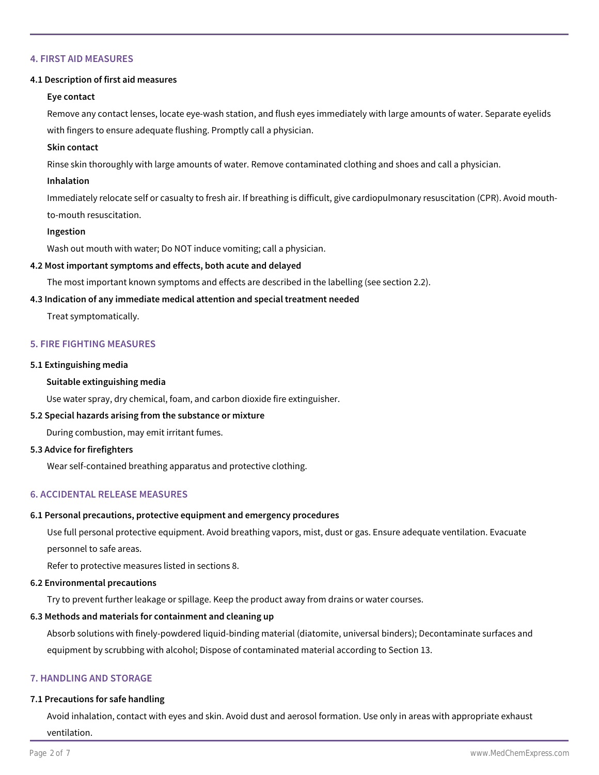### **4. FIRST AID MEASURES**

#### **4.1 Description of first aid measures**

#### **Eye contact**

Remove any contact lenses, locate eye-wash station, and flush eyes immediately with large amounts of water. Separate eyelids with fingers to ensure adequate flushing. Promptly call a physician.

#### **Skin contact**

Rinse skin thoroughly with large amounts of water. Remove contaminated clothing and shoes and call a physician.

#### **Inhalation**

Immediately relocate self or casualty to fresh air. If breathing is difficult, give cardiopulmonary resuscitation (CPR). Avoid mouthto-mouth resuscitation.

#### **Ingestion**

Wash out mouth with water; Do NOT induce vomiting; call a physician.

#### **4.2 Most important symptoms and effects, both acute and delayed**

The most important known symptoms and effects are described in the labelling (see section 2.2).

#### **4.3 Indication of any immediate medical attention and special treatment needed**

Treat symptomatically.

## **5. FIRE FIGHTING MEASURES**

#### **5.1 Extinguishing media**

### **Suitable extinguishing media**

Use water spray, dry chemical, foam, and carbon dioxide fire extinguisher.

## **5.2 Special hazards arising from the substance or mixture**

During combustion, may emit irritant fumes.

#### **5.3 Advice for firefighters**

Wear self-contained breathing apparatus and protective clothing.

## **6. ACCIDENTAL RELEASE MEASURES**

# **6.1 Personal precautions, protective equipment and emergency procedures**

Use full personal protective equipment. Avoid breathing vapors, mist, dust or gas. Ensure adequate ventilation. Evacuate personnel to safe areas.

Refer to protective measures listed in sections 8.

# **6.2 Environmental precautions**

Try to prevent further leakage or spillage. Keep the product away from drains or water courses.

# **6.3 Methods and materials for containment and cleaning up**

Absorb solutions with finely-powdered liquid-binding material (diatomite, universal binders); Decontaminate surfaces and equipment by scrubbing with alcohol; Dispose of contaminated material according to Section 13.

# **7. HANDLING AND STORAGE**

# **7.1 Precautions for safe handling**

Avoid inhalation, contact with eyes and skin. Avoid dust and aerosol formation. Use only in areas with appropriate exhaust ventilation.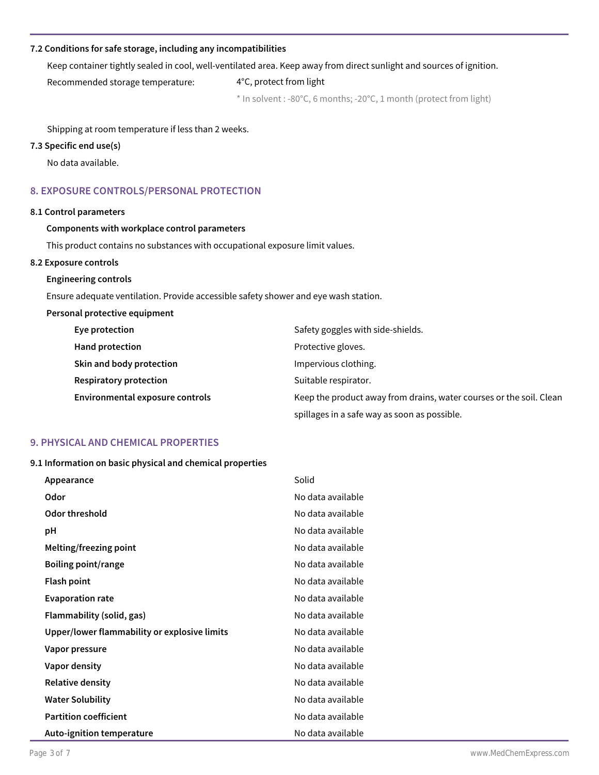## **7.2 Conditions for safe storage, including any incompatibilities**

Keep container tightly sealed in cool, well-ventilated area. Keep away from direct sunlight and sources of ignition.

Recommended storage temperature: 4°C, protect from light

\* In solvent : -80°C, 6 months; -20°C, 1 month (protect from light)

Shipping at room temperature if less than 2 weeks.

# **7.3 Specific end use(s)**

No data available.

# **8. EXPOSURE CONTROLS/PERSONAL PROTECTION**

### **8.1 Control parameters**

#### **Components with workplace control parameters**

This product contains no substances with occupational exposure limit values.

#### **8.2 Exposure controls**

#### **Engineering controls**

Ensure adequate ventilation. Provide accessible safety shower and eye wash station.

#### **Personal protective equipment**

| Eye protection                  | Safety goggles with side-shields.                                   |
|---------------------------------|---------------------------------------------------------------------|
| Hand protection                 | Protective gloves.                                                  |
| Skin and body protection        | Impervious clothing.                                                |
| Respiratory protection          | Suitable respirator.                                                |
| Environmental exposure controls | Keep the product away from drains, water courses or the soil. Clean |
|                                 | spillages in a safe way as soon as possible.                        |

# **9. PHYSICAL AND CHEMICAL PROPERTIES**

#### **9.1 Information on basic physical and chemical properties**

| Appearance                                   | Solid             |
|----------------------------------------------|-------------------|
| Odor                                         | No data available |
| Odor threshold                               | No data available |
| рH                                           | No data available |
| Melting/freezing point                       | No data available |
| <b>Boiling point/range</b>                   | No data available |
| <b>Flash point</b>                           | No data available |
| <b>Evaporation rate</b>                      | No data available |
| Flammability (solid, gas)                    | No data available |
| Upper/lower flammability or explosive limits | No data available |
| Vapor pressure                               | No data available |
| Vapor density                                | No data available |
| <b>Relative density</b>                      | No data available |
| <b>Water Solubility</b>                      | No data available |
| <b>Partition coefficient</b>                 | No data available |
| Auto-ignition temperature                    | No data available |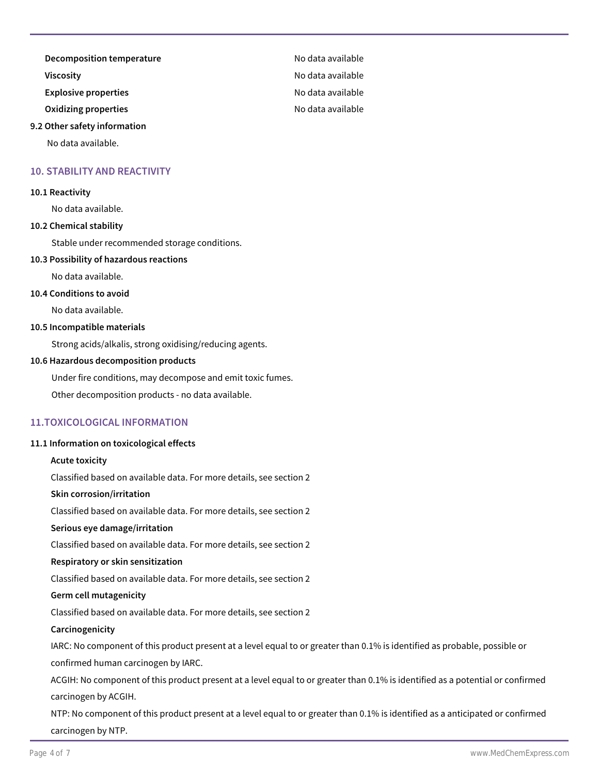**Decomposition temperature No data available** 

**Viscosity No data available** 

**Explosive properties No data available** 

**Oxidizing properties** No data available

#### **9.2 Other safety information**

No data available.

## **10. STABILITY AND REACTIVITY**

#### **10.1 Reactivity**

No data available.

## **10.2 Chemical stability**

Stable under recommended storage conditions.

### **10.3 Possibility of hazardous reactions**

No data available.

## **10.4 Conditions to avoid**

No data available.

## **10.5 Incompatible materials**

Strong acids/alkalis, strong oxidising/reducing agents.

## **10.6 Hazardous decomposition products**

Under fire conditions, may decompose and emit toxic fumes.

Other decomposition products - no data available.

# **11.TOXICOLOGICAL INFORMATION**

## **11.1 Information on toxicological effects**

## **Acute toxicity**

Classified based on available data. For more details, see section 2

#### **Skin corrosion/irritation**

Classified based on available data. For more details, see section 2

#### **Serious eye damage/irritation**

Classified based on available data. For more details, see section 2

#### **Respiratory or skin sensitization**

Classified based on available data. For more details, see section 2

#### **Germ cell mutagenicity**

Classified based on available data. For more details, see section 2

#### **Carcinogenicity**

IARC: No component of this product present at a level equal to or greater than 0.1% is identified as probable, possible or confirmed human carcinogen by IARC.

ACGIH: No component of this product present at a level equal to or greater than 0.1% is identified as a potential or confirmed carcinogen by ACGIH.

NTP: No component of this product present at a level equal to or greater than 0.1% is identified as a anticipated or confirmed carcinogen by NTP.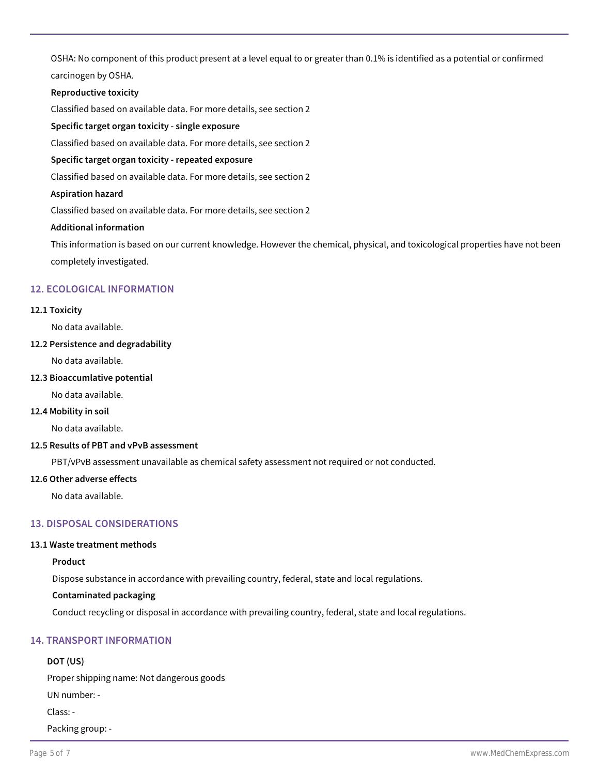OSHA: No component of this product present at a level equal to or greater than 0.1% is identified as a potential or confirmed carcinogen by OSHA.

**Reproductive toxicity**

Classified based on available data. For more details, see section 2

**Specific target organ toxicity - single exposure**

Classified based on available data. For more details, see section 2

#### **Specific target organ toxicity - repeated exposure**

Classified based on available data. For more details, see section 2

### **Aspiration hazard**

Classified based on available data. For more details, see section 2

#### **Additional information**

This information is based on our current knowledge. However the chemical, physical, and toxicological properties have not been completely investigated.

## **12. ECOLOGICAL INFORMATION**

#### **12.1 Toxicity**

No data available.

## **12.2 Persistence and degradability**

No data available.

## **12.3 Bioaccumlative potential**

No data available.

## **12.4 Mobility in soil**

No data available.

#### **12.5 Results of PBT and vPvB assessment**

PBT/vPvB assessment unavailable as chemical safety assessment not required or not conducted.

## **12.6 Other adverse effects**

No data available.

## **13. DISPOSAL CONSIDERATIONS**

#### **13.1 Waste treatment methods**

## **Product**

Dispose substance in accordance with prevailing country, federal, state and local regulations.

#### **Contaminated packaging**

Conduct recycling or disposal in accordance with prevailing country, federal, state and local regulations.

# **14. TRANSPORT INFORMATION**

## **DOT (US)**

Proper shipping name: Not dangerous goods

UN number: -

Class: -

Packing group: -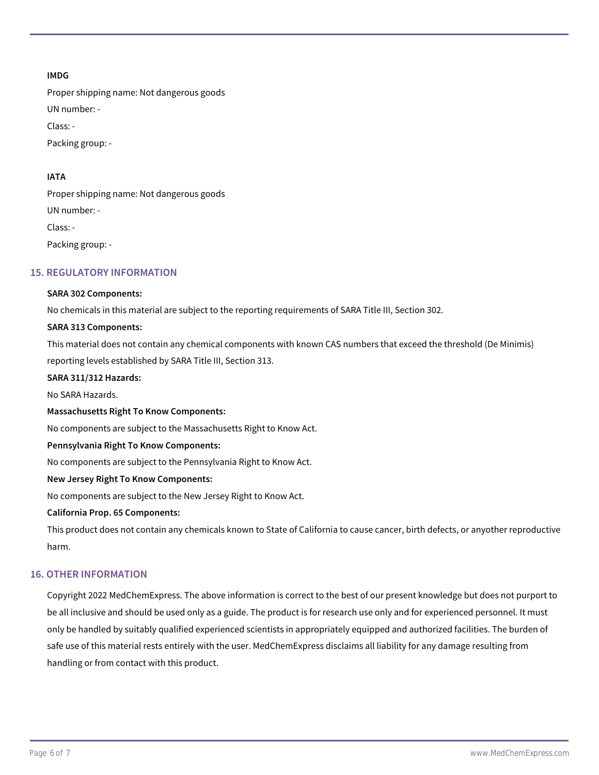# **IMDG**

Proper shipping name: Not dangerous goods UN number: - Class: - Packing group: -

# **IATA**

Proper shipping name: Not dangerous goods UN number: - Class: - Packing group: -

# **15. REGULATORY INFORMATION**

## **SARA 302 Components:**

No chemicals in this material are subject to the reporting requirements of SARA Title III, Section 302.

## **SARA 313 Components:**

This material does not contain any chemical components with known CAS numbers that exceed the threshold (De Minimis) reporting levels established by SARA Title III, Section 313.

## **SARA 311/312 Hazards:**

No SARA Hazards.

## **Massachusetts Right To Know Components:**

No components are subject to the Massachusetts Right to Know Act.

## **Pennsylvania Right To Know Components:**

No components are subject to the Pennsylvania Right to Know Act.

## **New Jersey Right To Know Components:**

No components are subject to the New Jersey Right to Know Act.

## **California Prop. 65 Components:**

This product does not contain any chemicals known to State of California to cause cancer, birth defects, or anyother reproductive harm.

## **16. OTHER INFORMATION**

Copyright 2022 MedChemExpress. The above information is correct to the best of our present knowledge but does not purport to be all inclusive and should be used only as a guide. The product is for research use only and for experienced personnel. It must only be handled by suitably qualified experienced scientists in appropriately equipped and authorized facilities. The burden of safe use of this material rests entirely with the user. MedChemExpress disclaims all liability for any damage resulting from handling or from contact with this product.